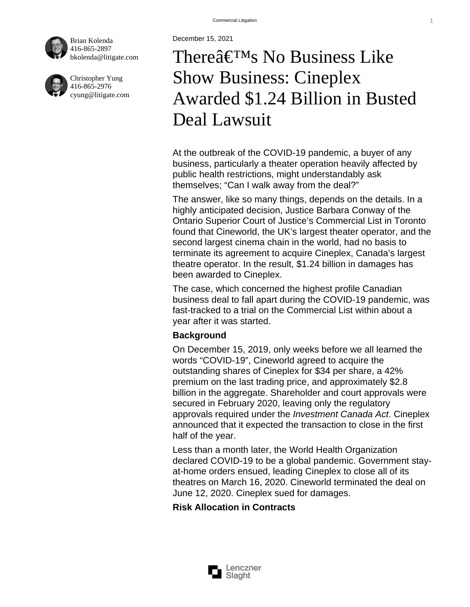December 15, 2021

[Brian Kolenda](http://litigate.com/BrianKolenda/pdf) [416-865-289](http://litigate.com/tel:4168652897)7 [bkolenda@litigate.com](mailto:bkolenda@litigate.com)

[Christopher Yun](http://litigate.com/christopheryung/pdf)g [416-865-297](http://litigate.com/tel:4168652976)6 [cyung@litigate.com](mailto:cyung@litigate.com)

## Thereâ€<sup>™</sup>s No Business Like Show Business: Cineplex Awarded \$1.24 Billion in Busted Deal Lawsuit

At the outbreak of the COVID-19 pandemic, a buyer of any business, particularly a theater operation heavily affected by public health restrictions, might understandably ask themselves; "Can I walk away from the deal?"

The answer, like so many things, depends on the details. In a highly anticipated decision, Justice Barbara Conway of the Ontario Superior Court of Justice's Commercial List in Toronto found that Cineworld, the UK's largest theater operator, and the second largest cinema chain in the world, had no basis to terminate its agreement to acquire Cineplex, Canada's largest theatre operator. In the result, \$1.24 billion in damages has been awarded to Cineplex.

The case, which concerned the highest profile Canadian business deal to fall apart during the COVID-19 pandemic, was fast-tracked to a trial on the Commercial List within about a year after it was started.

**Background** 

On December 15, 2019, only weeks before we all learned the words "COVID-19", Cineworld agreed to acquire the outstanding shares of Cineplex for \$34 per share, a 42% premium on the last trading price, and approximately \$2.8 billion in the aggregate. Shareholder and court approvals were secured in February 2020, leaving only the regulatory approvals required under the Investment Canada Act. Cineplex announced that it expected the transaction to close in the first half of the year.

Less than a month later, the World Health Organization declared COVID-19 to be a global pandemic. Government stayat-home orders ensued, leading Cineplex to close all of its theatres on March 16, 2020. Cineworld terminated the deal on June 12, 2020. Cineplex sued for damages.

Risk Allocation in Contracts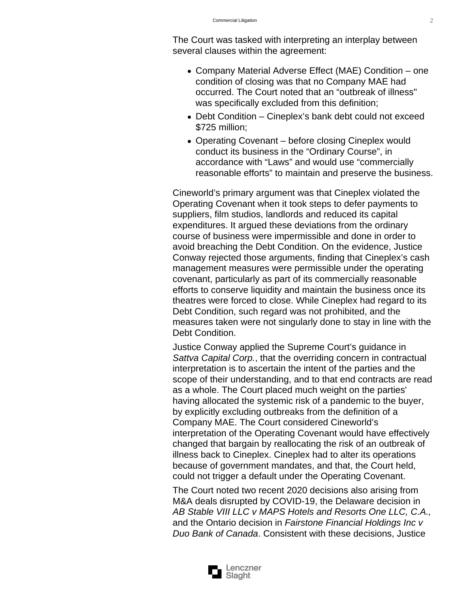The Court was tasked with interpreting an interplay between several clauses within the agreement:

- Company Material Adverse Effect (MAE) Condition one condition of closing was that no Company MAE had occurred. The Court noted that an "outbreak of illness" was specifically excluded from this definition;
- Debt Condition Cineplex's bank debt could not exceed \$725 million;
- Operating Covenant before closing Cineplex would conduct its business in the "Ordinary Course", in accordance with "Laws" and would use "commercially reasonable efforts" to maintain and preserve the business.

Cineworld's primary argument was that Cineplex violated the Operating Covenant when it took steps to defer payments to suppliers, film studios, landlords and reduced its capital expenditures. It argued these deviations from the ordinary course of business were impermissible and done in order to avoid breaching the Debt Condition. On the evidence, Justice Conway rejected those arguments, finding that Cineplex's cash management measures were permissible under the operating covenant, particularly as part of its commercially reasonable efforts to conserve liquidity and maintain the business once its theatres were forced to close. While Cineplex had regard to its Debt Condition, such regard was not prohibited, and the measures taken were not singularly done to stay in line with the Debt Condition.

Justice Conway applied the Supreme Court's guidance in Sattva Capital Corp., that the overriding concern in contractual interpretation is to ascertain the intent of the parties and the scope of their understanding, and to that end contracts are read as a whole. The Court placed much weight on the parties' having allocated the systemic risk of a pandemic to the buyer, by explicitly excluding outbreaks from the definition of a Company MAE. The Court considered Cineworld's interpretation of the Operating Covenant would have effectively changed that bargain by reallocating the risk of an outbreak of illness back to Cineplex. Cineplex had to alter its operations because of government mandates, and that, the Court held, could not trigger a default under the Operating Covenant.

The Court noted two recent 2020 decisions also arising from M&A deals disrupted by COVID-19, the Delaware decision in [AB Stable VIII LLC v MAPS Hotels and Resorts One LLC, C.A.](https://cases.justia.com/delaware/court-of-chancery/2020-c-a-no-2020-0310-jtl.pdf?ts=1606770110), and the Ontario decision in [Fairstone Financial Holdings Inc v](http://canlii.ca/t/jc1z4)  [Duo Bank of Canada](http://canlii.ca/t/jc1z4). Consistent with these decisions, Justice